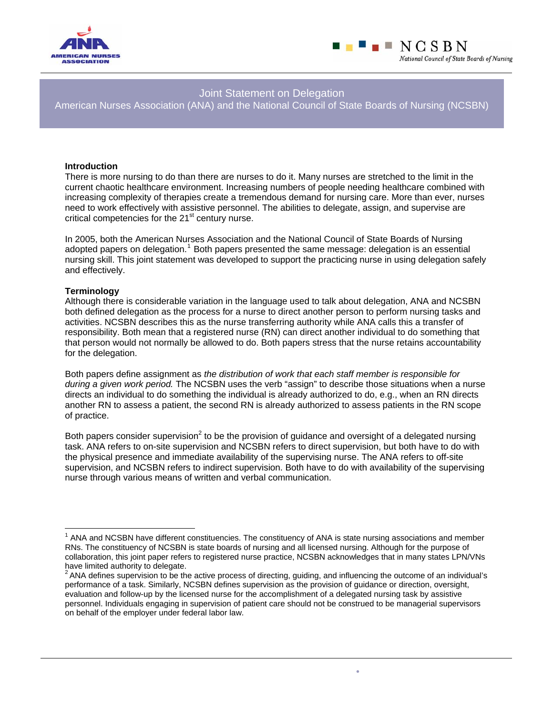

American Nurses Association (ANA) and the National Council of State Boards of Nursing (NCSBN)

#### **Introduction**

There is more nursing to do than there are nurses to do it. Many nurses are stretched to the limit in the current chaotic healthcare environment. Increasing numbers of people needing healthcare combined with increasing complexity of therapies create a tremendous demand for nursing care. More than ever, nurses need to work effectively with assistive personnel. The abilities to delegate, assign, and supervise are critical competencies for the 21<sup>st</sup> century nurse.

In 2005, both the American Nurses Association and the National Council of State Boards of Nursing adopted papers on delegation.<sup>[1](#page-0-0)</sup> Both papers presented the same message: delegation is an essential nursing skill. This joint statement was developed to support the practicing nurse in using delegation safely and effectively.

#### **Terminology**

 $\overline{a}$ 

Although there is considerable variation in the language used to talk about delegation, ANA and NCSBN both defined delegation as the process for a nurse to direct another person to perform nursing tasks and activities. NCSBN describes this as the nurse transferring authority while ANA calls this a transfer of responsibility. Both mean that a registered nurse (RN) can direct another individual to do something that that person would not normally be allowed to do. Both papers stress that the nurse retains accountability for the delegation.

Both papers define assignment as *the distribution of work that each staff member is responsible for during a given work period.* The NCSBN uses the verb "assign" to describe those situations when a nurse directs an individual to do something the individual is already authorized to do, e.g., when an RN directs another RN to assess a patient, the second RN is already authorized to assess patients in the RN scope of practice.

Both papers consider supervision<sup>2</sup> to be the provision of guidance and oversight of a delegated nursing task. ANA refers to on-site supervision and NCSBN refers to direct supervision, but both have to do with the physical presence and immediate availability of the supervising nurse. The ANA refers to off-site supervision, and NCSBN refers to indirect supervision. Both have to do with availability of the supervising nurse through various means of written and verbal communication.

<span id="page-0-0"></span> $1$  ANA and NCSBN have different constituencies. The constituency of ANA is state nursing associations and member RNs. The constituency of NCSBN is state boards of nursing and all licensed nursing. Although for the purpose of collaboration, this joint paper refers to registered nurse practice, NCSBN acknowledges that in many states LPN/VNs have limited authority to delegate.

 $<sup>2</sup>$  ANA defines supervision to be the active process of directing, guiding, and influencing the outcome of an individual's</sup> performance of a task. Similarly, NCSBN defines supervision as the provision of guidance or direction, oversight, evaluation and follow-up by the licensed nurse for the accomplishment of a delegated nursing task by assistive personnel. Individuals engaging in supervision of patient care should not be construed to be managerial supervisors on behalf of the employer under federal labor law.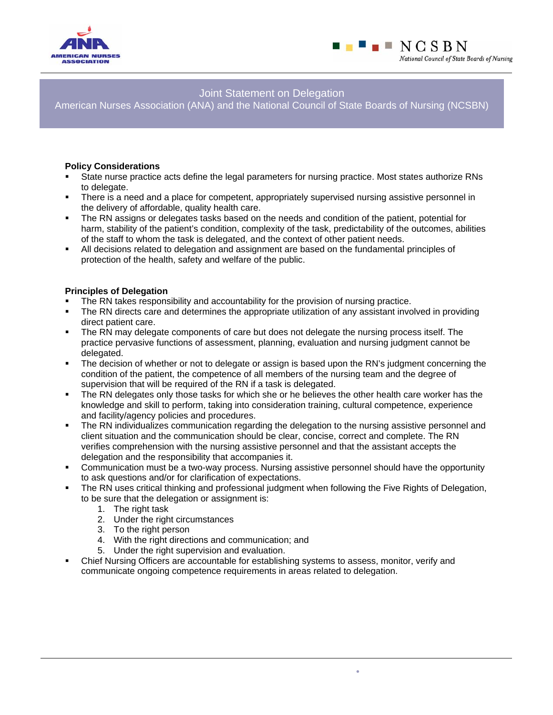

American Nurses Association (ANA) and the National Council of State Boards of Nursing (NCSBN)

#### **Policy Considerations**

- State nurse practice acts define the legal parameters for nursing practice. Most states authorize RNs to delegate.
- There is a need and a place for competent, appropriately supervised nursing assistive personnel in the delivery of affordable, quality health care.
- The RN assigns or delegates tasks based on the needs and condition of the patient, potential for harm, stability of the patient's condition, complexity of the task, predictability of the outcomes, abilities of the staff to whom the task is delegated, and the context of other patient needs.
- All decisions related to delegation and assignment are based on the fundamental principles of protection of the health, safety and welfare of the public.

#### **Principles of Delegation**

- The RN takes responsibility and accountability for the provision of nursing practice.
- The RN directs care and determines the appropriate utilization of any assistant involved in providing direct patient care.
- The RN may delegate components of care but does not delegate the nursing process itself. The practice pervasive functions of assessment, planning, evaluation and nursing judgment cannot be delegated.
- The decision of whether or not to delegate or assign is based upon the RN's judgment concerning the condition of the patient, the competence of all members of the nursing team and the degree of supervision that will be required of the RN if a task is delegated.
- The RN delegates only those tasks for which she or he believes the other health care worker has the knowledge and skill to perform, taking into consideration training, cultural competence, experience and facility/agency policies and procedures.
- The RN individualizes communication regarding the delegation to the nursing assistive personnel and client situation and the communication should be clear, concise, correct and complete. The RN verifies comprehension with the nursing assistive personnel and that the assistant accepts the delegation and the responsibility that accompanies it.
- Communication must be a two-way process. Nursing assistive personnel should have the opportunity to ask questions and/or for clarification of expectations.
- The RN uses critical thinking and professional judgment when following the Five Rights of Delegation, to be sure that the delegation or assignment is:

- 1. The right task
- 2. Under the right circumstances
- 3. To the right person
- 4. With the right directions and communication; and
- 5. Under the right supervision and evaluation.
- Chief Nursing Officers are accountable for establishing systems to assess, monitor, verify and communicate ongoing competence requirements in areas related to delegation.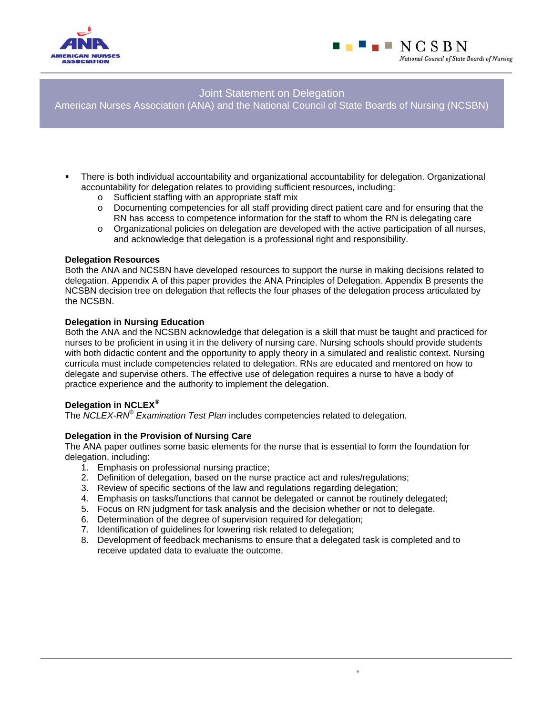



American Nurses Association (ANA) and the National Council of State Boards of Nursing (NCSBN)

- There is both individual accountability and organizational accountability for delegation. Organizational accountability for delegation relates to providing sufficient resources, including:
	- o Sufficient staffing with an appropriate staff mix
	- o Documenting competencies for all staff providing direct patient care and for ensuring that the RN has access to competence information for the staff to whom the RN is delegating care
	- $\circ$  Organizational policies on delegation are developed with the active participation of all nurses, and acknowledge that delegation is a professional right and responsibility.

#### **Delegation Resources**

Both the ANA and NCSBN have developed resources to support the nurse in making decisions related to delegation. Appendix A of this paper provides the ANA Principles of Delegation. Appendix B presents the NCSBN decision tree on delegation that reflects the four phases of the delegation process articulated by the NCSBN.

### **Delegation in Nursing Education**

Both the ANA and the NCSBN acknowledge that delegation is a skill that must be taught and practiced for nurses to be proficient in using it in the delivery of nursing care. Nursing schools should provide students with both didactic content and the opportunity to apply theory in a simulated and realistic context. Nursing curricula must include competencies related to delegation. RNs are educated and mentored on how to delegate and supervise others. The effective use of delegation requires a nurse to have a body of practice experience and the authority to implement the delegation.

#### **Delegation in NCLEX®**

The *NCLEX-RN® Examination Test Plan* includes competencies related to delegation.

#### **Delegation in the Provision of Nursing Care**

The ANA paper outlines some basic elements for the nurse that is essential to form the foundation for delegation, including:

- 1. Emphasis on professional nursing practice;
- 2. Definition of delegation, based on the nurse practice act and rules/regulations;
- 3. Review of specific sections of the law and regulations regarding delegation;
- 4. Emphasis on tasks/functions that cannot be delegated or cannot be routinely delegated;
- 5. Focus on RN judgment for task analysis and the decision whether or not to delegate.
- 6. Determination of the degree of supervision required for delegation;
- 7. Identification of guidelines for lowering risk related to delegation;
- 8. Development of feedback mechanisms to ensure that a delegated task is completed and to receive updated data to evaluate the outcome.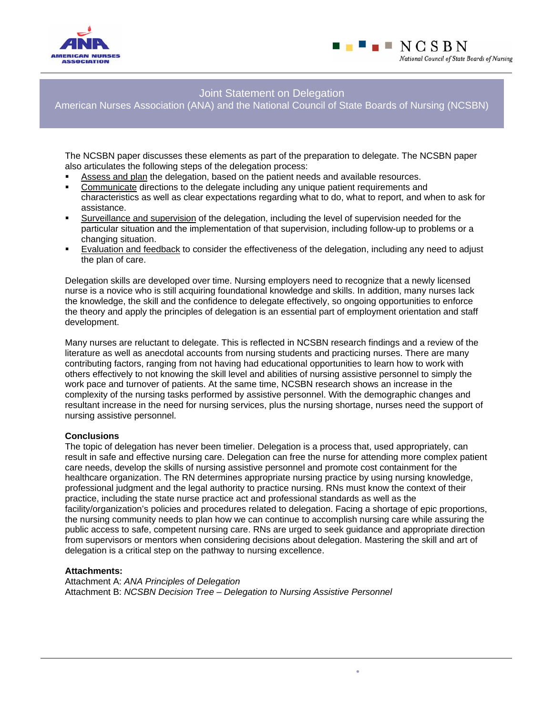



American Nurses Association (ANA) and the National Council of State Boards of Nursing (NCSBN)

The NCSBN paper discusses these elements as part of the preparation to delegate. The NCSBN paper also articulates the following steps of the delegation process:

- Assess and plan the delegation, based on the patient needs and available resources.
- Communicate directions to the delegate including any unique patient requirements and characteristics as well as clear expectations regarding what to do, what to report, and when to ask for assistance.
- Surveillance and supervision of the delegation, including the level of supervision needed for the particular situation and the implementation of that supervision, including follow-up to problems or a changing situation.
- Evaluation and feedback to consider the effectiveness of the delegation, including any need to adjust the plan of care.

Delegation skills are developed over time. Nursing employers need to recognize that a newly licensed nurse is a novice who is still acquiring foundational knowledge and skills. In addition, many nurses lack the knowledge, the skill and the confidence to delegate effectively, so ongoing opportunities to enforce the theory and apply the principles of delegation is an essential part of employment orientation and staff development.

Many nurses are reluctant to delegate. This is reflected in NCSBN research findings and a review of the literature as well as anecdotal accounts from nursing students and practicing nurses. There are many contributing factors, ranging from not having had educational opportunities to learn how to work with others effectively to not knowing the skill level and abilities of nursing assistive personnel to simply the work pace and turnover of patients. At the same time, NCSBN research shows an increase in the complexity of the nursing tasks performed by assistive personnel. With the demographic changes and resultant increase in the need for nursing services, plus the nursing shortage, nurses need the support of nursing assistive personnel.

#### **Conclusions**

The topic of delegation has never been timelier. Delegation is a process that, used appropriately, can result in safe and effective nursing care. Delegation can free the nurse for attending more complex patient care needs, develop the skills of nursing assistive personnel and promote cost containment for the healthcare organization. The RN determines appropriate nursing practice by using nursing knowledge, professional judgment and the legal authority to practice nursing. RNs must know the context of their practice, including the state nurse practice act and professional standards as well as the facility/organization's policies and procedures related to delegation. Facing a shortage of epic proportions, the nursing community needs to plan how we can continue to accomplish nursing care while assuring the public access to safe, competent nursing care. RNs are urged to seek guidance and appropriate direction from supervisors or mentors when considering decisions about delegation. Mastering the skill and art of delegation is a critical step on the pathway to nursing excellence.

**ANA** • 8515 Georgia Avenue, Suite 400 • Silver Spring Maryland 20910-3492 • 301.628.6500 • Fax 301.628.5001 • www.nursingworld.org

## **Attachments:**

Attachment A: *ANA Principles of Delegation* Attachment B: *NCSBN Decision Tree – Delegation to Nursing Assistive Personnel*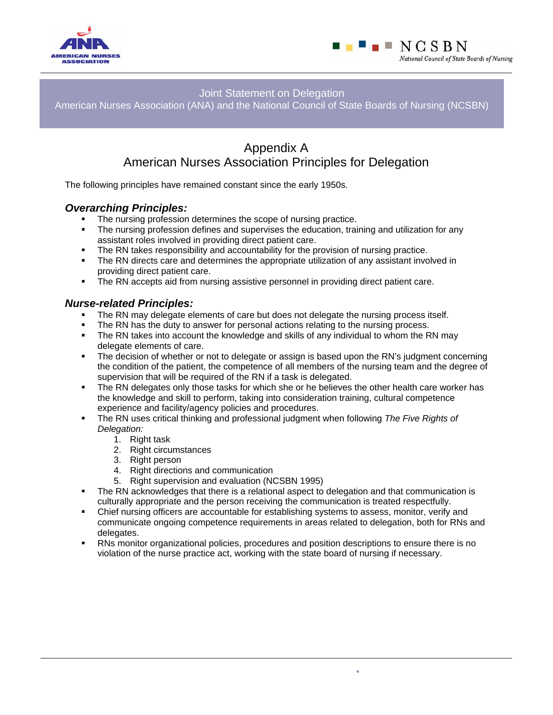



American Nurses Association (ANA) and the National Council of State Boards of Nursing (NCSBN)

# Appendix A American Nurses Association Principles for Delegation

The following principles have remained constant since the early 1950s.

# *Overarching Principles:*

- The nursing profession determines the scope of nursing practice.
- The nursing profession defines and supervises the education, training and utilization for any assistant roles involved in providing direct patient care.
- The RN takes responsibility and accountability for the provision of nursing practice.
- The RN directs care and determines the appropriate utilization of any assistant involved in providing direct patient care.
- The RN accepts aid from nursing assistive personnel in providing direct patient care.

# *Nurse-related Principles:*

- The RN may delegate elements of care but does not delegate the nursing process itself.
- The RN has the duty to answer for personal actions relating to the nursing process.
- The RN takes into account the knowledge and skills of any individual to whom the RN may delegate elements of care.
- The decision of whether or not to delegate or assign is based upon the RN's judgment concerning the condition of the patient, the competence of all members of the nursing team and the degree of supervision that will be required of the RN if a task is delegated.
- **The RN delegates only those tasks for which she or he believes the other health care worker has** the knowledge and skill to perform, taking into consideration training, cultural competence experience and facility/agency policies and procedures.
- The RN uses critical thinking and professional judgment when following *The Five Rights of Delegation:*
	- 1. Right task
	- 2. Right circumstances
	- 3. Right person
	- 4. Right directions and communication
	- 5. Right supervision and evaluation (NCSBN 1995)
- The RN acknowledges that there is a relational aspect to delegation and that communication is culturally appropriate and the person receiving the communication is treated respectfully.
- Chief nursing officers are accountable for establishing systems to assess, monitor, verify and communicate ongoing competence requirements in areas related to delegation, both for RNs and delegates.
- RNs monitor organizational policies, procedures and position descriptions to ensure there is no violation of the nurse practice act, working with the state board of nursing if necessary.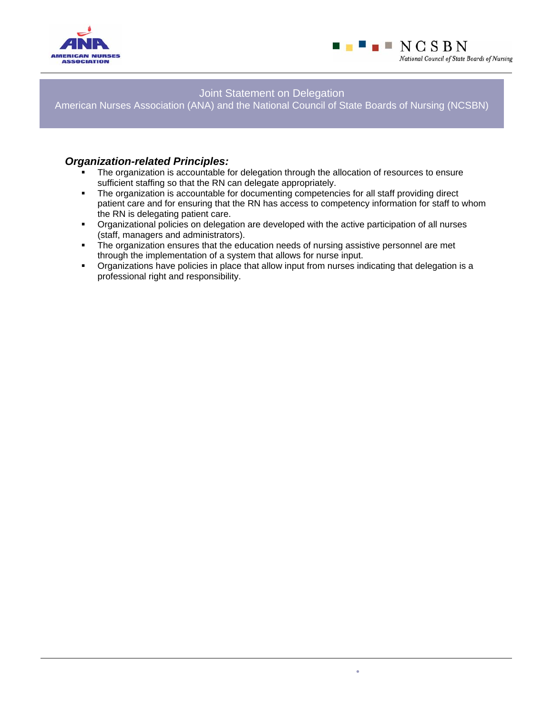



American Nurses Association (ANA) and the National Council of State Boards of Nursing (NCSBN)

## *Organization-related Principles:*

- The organization is accountable for delegation through the allocation of resources to ensure sufficient staffing so that the RN can delegate appropriately.
- The organization is accountable for documenting competencies for all staff providing direct patient care and for ensuring that the RN has access to competency information for staff to whom the RN is delegating patient care.
- Organizational policies on delegation are developed with the active participation of all nurses (staff, managers and administrators).
- The organization ensures that the education needs of nursing assistive personnel are met through the implementation of a system that allows for nurse input.
- Organizations have policies in place that allow input from nurses indicating that delegation is a professional right and responsibility.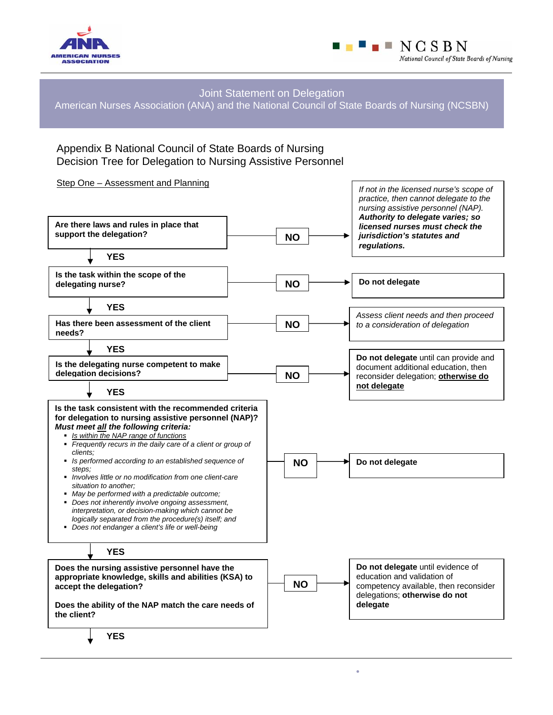

American Nurses Association (ANA) and the National Council of State Boards of Nursing (NCSBN)

Appendix B National Council of State Boards of Nursing Decision Tree for Delegation to Nursing Assistive Personnel

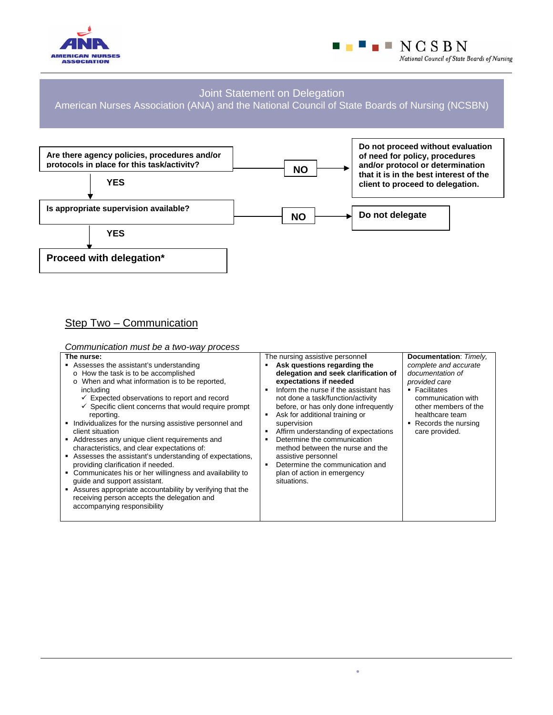



American Nurses Association (ANA) and the National Council of State Boards of Nursing (NCSBN)



# Step Two – Communication

*Communication must be a two-way process* **The nurse:**  Assesses the assistant's understanding o How the task is to be accomplished o When and what information is to be reported, including  $\checkmark$  Expected observations to report and record  $\checkmark$  Specific client concerns that would require prompt reporting. **Individualizes for the nursing assistive personnel and** client situation Addresses any unique client requirements and characteristics, and clear expectations of: Assesses the assistant's understanding of expectations, providing clarification if needed. Communicates his or her willingness and availability to guide and support assistant. Assures appropriate accountability by verifying that the receiving person accepts the delegation and accompanying responsibility The nursing assistive personne**l Ask questions regarding the delegation and seek clarification of expectations if needed**  Inform the nurse if the assistant has not done a task/function/activity before, or has only done infrequently Ask for additional training or supervision Affirm understanding of expectations Determine the communication method between the nurse and the assistive personnel Determine the communication and plan of action in emergency situations. **Documentation**: *Timely, complete and accurate documentation of provided care*  **Facilitates** communication with other members of the healthcare team • Records the nursing care provided.